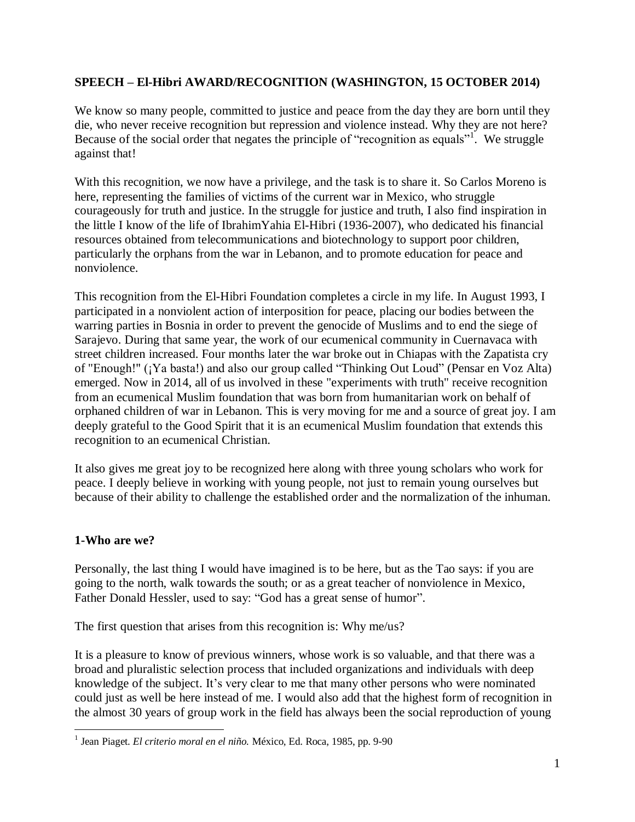## **SPEECH – El-Hibri AWARD/RECOGNITION (WASHINGTON, 15 OCTOBER 2014)**

We know so many people, committed to justice and peace from the day they are born until they die, who never receive recognition but repression and violence instead. Why they are not here? Because of the social order that negates the principle of "recognition as equals"<sup>1</sup>. We struggle against that!

With this recognition, we now have a privilege, and the task is to share it. So Carlos Moreno is here, representing the families of victims of the current war in Mexico, who struggle courageously for truth and justice. In the struggle for justice and truth, I also find inspiration in the little I know of the life of IbrahimYahia El-Hibri (1936-2007), who dedicated his financial resources obtained from telecommunications and biotechnology to support poor children, particularly the orphans from the war in Lebanon, and to promote education for peace and nonviolence.

This recognition from the El-Hibri Foundation completes a circle in my life. In August 1993, I participated in a nonviolent action of interposition for peace, placing our bodies between the warring parties in Bosnia in order to prevent the genocide of Muslims and to end the siege of Sarajevo. During that same year, the work of our ecumenical community in Cuernavaca with street children increased. Four months later the war broke out in Chiapas with the Zapatista cry of "Enough!" (¡Ya basta!) and also our group called "Thinking Out Loud" (Pensar en Voz Alta) emerged. Now in 2014, all of us involved in these "experiments with truth" receive recognition from an ecumenical Muslim foundation that was born from humanitarian work on behalf of orphaned children of war in Lebanon. This is very moving for me and a source of great joy. I am deeply grateful to the Good Spirit that it is an ecumenical Muslim foundation that extends this recognition to an ecumenical Christian.

It also gives me great joy to be recognized here along with three young scholars who work for peace. I deeply believe in working with young people, not just to remain young ourselves but because of their ability to challenge the established order and the normalization of the inhuman.

### **1-Who are we?**

 $\overline{a}$ 

Personally, the last thing I would have imagined is to be here, but as the Tao says: if you are going to the north, walk towards the south; or as a great teacher of nonviolence in Mexico, Father Donald Hessler, used to say: "God has a great sense of humor".

The first question that arises from this recognition is: Why me/us?

It is a pleasure to know of previous winners, whose work is so valuable, and that there was a broad and pluralistic selection process that included organizations and individuals with deep knowledge of the subject. It"s very clear to me that many other persons who were nominated could just as well be here instead of me. I would also add that the highest form of recognition in the almost 30 years of group work in the field has always been the social reproduction of young

<sup>1</sup> Jean Piaget. *El criterio moral en el niño.* México, Ed. Roca, 1985, pp. 9-90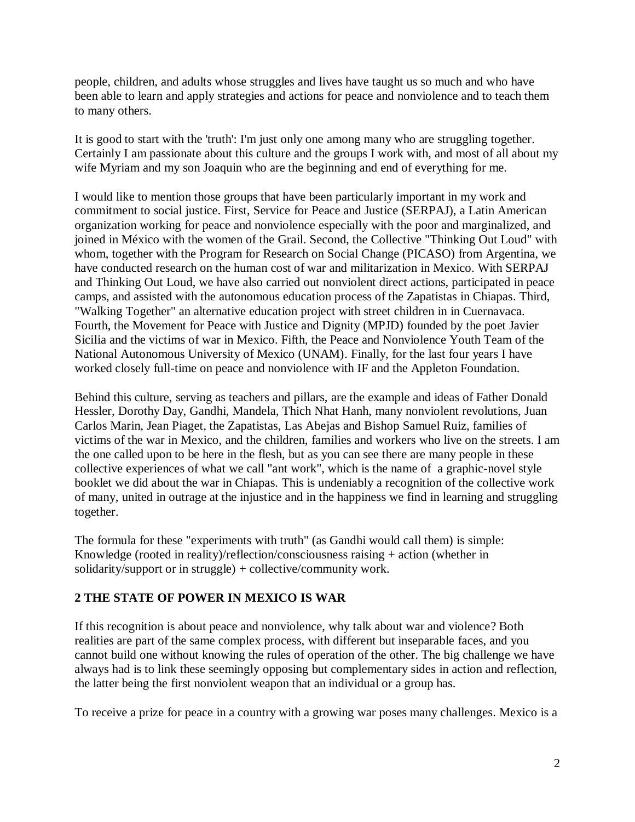people, children, and adults whose struggles and lives have taught us so much and who have been able to learn and apply strategies and actions for peace and nonviolence and to teach them to many others.

It is good to start with the 'truth': I'm just only one among many who are struggling together. Certainly I am passionate about this culture and the groups I work with, and most of all about my wife Myriam and my son Joaquin who are the beginning and end of everything for me.

I would like to mention those groups that have been particularly important in my work and commitment to social justice. First, Service for Peace and Justice (SERPAJ), a Latin American organization working for peace and nonviolence especially with the poor and marginalized, and joined in México with the women of the Grail. Second, the Collective "Thinking Out Loud" with whom, together with the Program for Research on Social Change (PICASO) from Argentina, we have conducted research on the human cost of war and militarization in Mexico. With SERPAJ and Thinking Out Loud, we have also carried out nonviolent direct actions, participated in peace camps, and assisted with the autonomous education process of the Zapatistas in Chiapas. Third, "Walking Together" an alternative education project with street children in in Cuernavaca. Fourth, the Movement for Peace with Justice and Dignity (MPJD) founded by the poet Javier Sicilia and the victims of war in Mexico. Fifth, the Peace and Nonviolence Youth Team of the National Autonomous University of Mexico (UNAM). Finally, for the last four years I have worked closely full-time on peace and nonviolence with IF and the Appleton Foundation.

Behind this culture, serving as teachers and pillars, are the example and ideas of Father Donald Hessler, Dorothy Day, Gandhi, Mandela, Thich Nhat Hanh, many nonviolent revolutions, Juan Carlos Marin, Jean Piaget, the Zapatistas, Las Abejas and Bishop Samuel Ruiz, families of victims of the war in Mexico, and the children, families and workers who live on the streets. I am the one called upon to be here in the flesh, but as you can see there are many people in these collective experiences of what we call "ant work", which is the name of a graphic-novel style booklet we did about the war in Chiapas. This is undeniably a recognition of the collective work of many, united in outrage at the injustice and in the happiness we find in learning and struggling together.

The formula for these "experiments with truth" (as Gandhi would call them) is simple: Knowledge (rooted in reality)/reflection/consciousness raising + action (whether in solidarity/support or in struggle) + collective/community work.

## **2 THE STATE OF POWER IN MEXICO IS WAR**

If this recognition is about peace and nonviolence, why talk about war and violence? Both realities are part of the same complex process, with different but inseparable faces, and you cannot build one without knowing the rules of operation of the other. The big challenge we have always had is to link these seemingly opposing but complementary sides in action and reflection, the latter being the first nonviolent weapon that an individual or a group has.

To receive a prize for peace in a country with a growing war poses many challenges. Mexico is a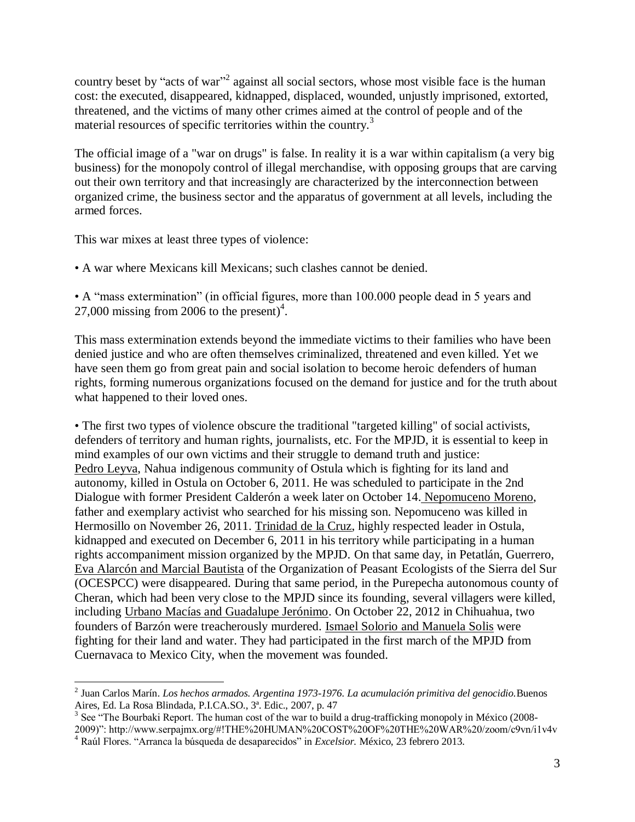country beset by "acts of war"<sup>2</sup> against all social sectors, whose most visible face is the human cost: the executed, disappeared, kidnapped, displaced, wounded, unjustly imprisoned, extorted, threatened, and the victims of many other crimes aimed at the control of people and of the material resources of specific territories within the country.<sup>3</sup>

The official image of a "war on drugs" is false. In reality it is a war within capitalism (a very big business) for the monopoly control of illegal merchandise, with opposing groups that are carving out their own territory and that increasingly are characterized by the interconnection between organized crime, the business sector and the apparatus of government at all levels, including the armed forces.

This war mixes at least three types of violence:

• A war where Mexicans kill Mexicans; such clashes cannot be denied.

• A "mass extermination" (in official figures, more than 100.000 people dead in 5 years and 27,000 missing from 2006 to the present) $4$ .

This mass extermination extends beyond the immediate victims to their families who have been denied justice and who are often themselves criminalized, threatened and even killed. Yet we have seen them go from great pain and social isolation to become heroic defenders of human rights, forming numerous organizations focused on the demand for justice and for the truth about what happened to their loved ones.

• The first two types of violence obscure the traditional "targeted killing" of social activists, defenders of territory and human rights, journalists, etc. For the MPJD, it is essential to keep in mind examples of our own victims and their struggle to demand truth and justice: Pedro Leyva, Nahua indigenous community of Ostula which is fighting for its land and autonomy, killed in Ostula on October 6, 2011. He was scheduled to participate in the 2nd Dialogue with former President Calderón a week later on October 14. Nepomuceno Moreno, father and exemplary activist who searched for his missing son. Nepomuceno was killed in Hermosillo on November 26, 2011. Trinidad de la Cruz, highly respected leader in Ostula, kidnapped and executed on December 6, 2011 in his territory while participating in a human rights accompaniment mission organized by the MPJD. On that same day, in Petatlán, Guerrero, Eva Alarcón and Marcial Bautista of the Organization of Peasant Ecologists of the Sierra del Sur (OCESPCC) were disappeared. During that same period, in the Purepecha autonomous county of Cheran, which had been very close to the MPJD since its founding, several villagers were killed, including Urbano Macías and Guadalupe Jerónimo. On October 22, 2012 in Chihuahua, two founders of Barzón were treacherously murdered. Ismael Solorio and Manuela Solis were fighting for their land and water. They had participated in the first march of the MPJD from Cuernavaca to Mexico City, when the movement was founded.

 2 Juan Carlos Marín. *Los hechos armados. Argentina 1973-1976. La acumulación primitiva del genocidio.*Buenos Aires, Ed. La Rosa Blindada, P.I.CA.SO., 3ª. Edic., 2007, p. 47

<sup>&</sup>lt;sup>3</sup> See "The Bourbaki Report. The human cost of the war to build a drug-trafficking monopoly in México (2008-

<sup>2009)&</sup>quot;: http://www.serpajmx.org/#!THE%20HUMAN%20COST%20OF%20THE%20WAR%20/zoom/c9vn/i1v4v <sup>4</sup> Raúl Flores. "Arranca la búsqueda de desaparecidos" in *Excelsior.* México, 23 febrero 2013.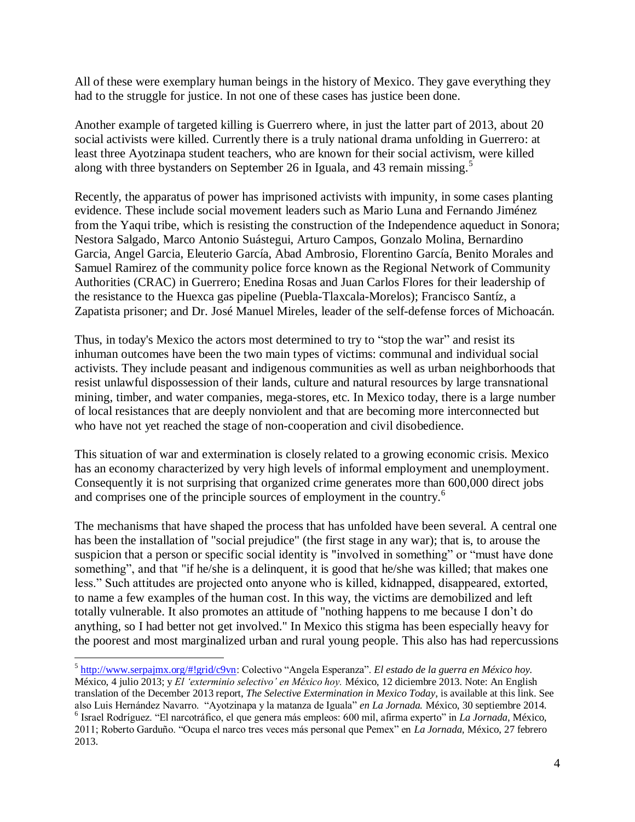All of these were exemplary human beings in the history of Mexico. They gave everything they had to the struggle for justice. In not one of these cases has justice been done.

Another example of targeted killing is Guerrero where, in just the latter part of 2013, about 20 social activists were killed. Currently there is a truly national drama unfolding in Guerrero: at least three Ayotzinapa student teachers, who are known for their social activism, were killed along with three bystanders on September 26 in Iguala, and 43 remain missing. 5

Recently, the apparatus of power has imprisoned activists with impunity, in some cases planting evidence. These include social movement leaders such as Mario Luna and Fernando Jiménez from the Yaqui tribe, which is resisting the construction of the Independence aqueduct in Sonora; Nestora Salgado, Marco Antonio Suástegui, Arturo Campos, Gonzalo Molina, Bernardino Garcia, Angel Garcia, Eleuterio García, Abad Ambrosio, Florentino García, Benito Morales and Samuel Ramirez of the community police force known as the Regional Network of Community Authorities (CRAC) in Guerrero; Enedina Rosas and Juan Carlos Flores for their leadership of the resistance to the Huexca gas pipeline (Puebla-Tlaxcala-Morelos); Francisco Santíz, a Zapatista prisoner; and Dr. José Manuel Mireles, leader of the self-defense forces of Michoacán.

Thus, in today's Mexico the actors most determined to try to "stop the war" and resist its inhuman outcomes have been the two main types of victims: communal and individual social activists. They include peasant and indigenous communities as well as urban neighborhoods that resist unlawful dispossession of their lands, culture and natural resources by large transnational mining, timber, and water companies, mega-stores, etc. In Mexico today, there is a large number of local resistances that are deeply nonviolent and that are becoming more interconnected but who have not yet reached the stage of non-cooperation and civil disobedience.

This situation of war and extermination is closely related to a growing economic crisis. Mexico has an economy characterized by very high levels of informal employment and unemployment. Consequently it is not surprising that organized crime generates more than 600,000 direct jobs and comprises one of the principle sources of employment in the country.<sup>6</sup>

The mechanisms that have shaped the process that has unfolded have been several. A central one has been the installation of "social prejudice" (the first stage in any war); that is, to arouse the suspicion that a person or specific social identity is "involved in something" or "must have done something", and that "if he/she is a delinquent, it is good that he/she was killed; that makes one less." Such attitudes are projected onto anyone who is killed, kidnapped, disappeared, extorted, to name a few examples of the human cost. In this way, the victims are demobilized and left totally vulnerable. It also promotes an attitude of "nothing happens to me because I don"t do anything, so I had better not get involved." In Mexico this stigma has been especially heavy for the poorest and most marginalized urban and rural young people. This also has had repercussions

<sup>5</sup> [http://www.serpajmx.org/#!grid/c9vn:](http://www.serpajmx.org/#!grid/c9vn) Colectivo "Angela Esperanza". *El estado de la guerra en México hoy.*  México, 4 julio 2013; y *El 'exterminio selectivo' en México hoy.* México, 12 diciembre 2013. Note: An English translation of the December 2013 report, *The Selective Extermination in Mexico Today*, is available at this link. See also Luis Hernández Navarro. "Ayotzinapa y la matanza de Iguala" *en La Jornada.* México, 30 septiembre 2014. 6 Israel Rodríguez. "El narcotráfico, el que genera más empleos: 600 mil, afirma experto" in *La Jornada,* México, 2011; Roberto Garduño. "Ocupa el narco tres veces más personal que Pemex" en *La Jornada,* México, 27 febrero 2013.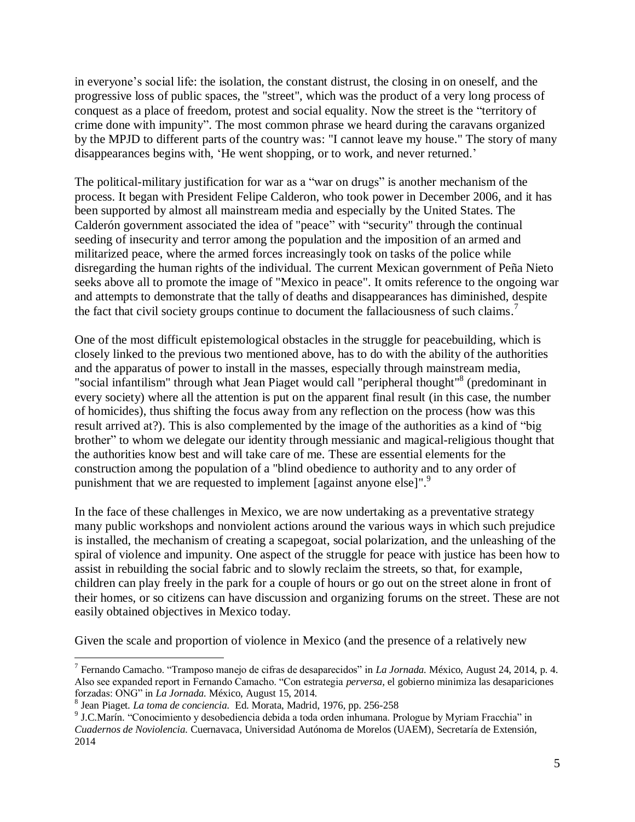in everyone"s social life: the isolation, the constant distrust, the closing in on oneself, and the progressive loss of public spaces, the "street", which was the product of a very long process of conquest as a place of freedom, protest and social equality. Now the street is the "territory of crime done with impunity". The most common phrase we heard during the caravans organized by the MPJD to different parts of the country was: "I cannot leave my house." The story of many disappearances begins with, 'He went shopping, or to work, and never returned.'

The political-military justification for war as a "war on drugs" is another mechanism of the process. It began with President Felipe Calderon, who took power in December 2006, and it has been supported by almost all mainstream media and especially by the United States. The Calderón government associated the idea of "peace" with "security" through the continual seeding of insecurity and terror among the population and the imposition of an armed and militarized peace, where the armed forces increasingly took on tasks of the police while disregarding the human rights of the individual. The current Mexican government of Peña Nieto seeks above all to promote the image of "Mexico in peace". It omits reference to the ongoing war and attempts to demonstrate that the tally of deaths and disappearances has diminished, despite the fact that civil society groups continue to document the fallaciousness of such claims.<sup>7</sup>

One of the most difficult epistemological obstacles in the struggle for peacebuilding, which is closely linked to the previous two mentioned above, has to do with the ability of the authorities and the apparatus of power to install in the masses, especially through mainstream media, "social infantilism" through what Jean Piaget would call "peripheral thought"<sup>8</sup> (predominant in every society) where all the attention is put on the apparent final result (in this case, the number of homicides), thus shifting the focus away from any reflection on the process (how was this result arrived at?). This is also complemented by the image of the authorities as a kind of "big brother" to whom we delegate our identity through messianic and magical-religious thought that the authorities know best and will take care of me. These are essential elements for the construction among the population of a "blind obedience to authority and to any order of punishment that we are requested to implement [against anyone else]".<sup>9</sup>

In the face of these challenges in Mexico, we are now undertaking as a preventative strategy many public workshops and nonviolent actions around the various ways in which such prejudice is installed, the mechanism of creating a scapegoat, social polarization, and the unleashing of the spiral of violence and impunity. One aspect of the struggle for peace with justice has been how to assist in rebuilding the social fabric and to slowly reclaim the streets, so that, for example, children can play freely in the park for a couple of hours or go out on the street alone in front of their homes, or so citizens can have discussion and organizing forums on the street. These are not easily obtained objectives in Mexico today.

Given the scale and proportion of violence in Mexico (and the presence of a relatively new

<sup>7</sup> Fernando Camacho. "Tramposo manejo de cifras de desaparecidos" in *La Jornada.* México, August 24, 2014, p. 4. Also see expanded report in Fernando Camacho. "Con estrategia *perversa,* el gobierno minimiza las desapariciones forzadas: ONG" in *La Jornada.* México, August 15, 2014.

<sup>8</sup> Jean Piaget. *La toma de conciencia.* Ed. Morata, Madrid, 1976, pp. 256-258

<sup>9</sup> J.C.Marín. "Conocimiento y desobediencia debida a toda orden inhumana. Prologue by Myriam Fracchia" in *Cuadernos de Noviolencia.* Cuernavaca, Universidad Autónoma de Morelos (UAEM), Secretaría de Extensión, 2014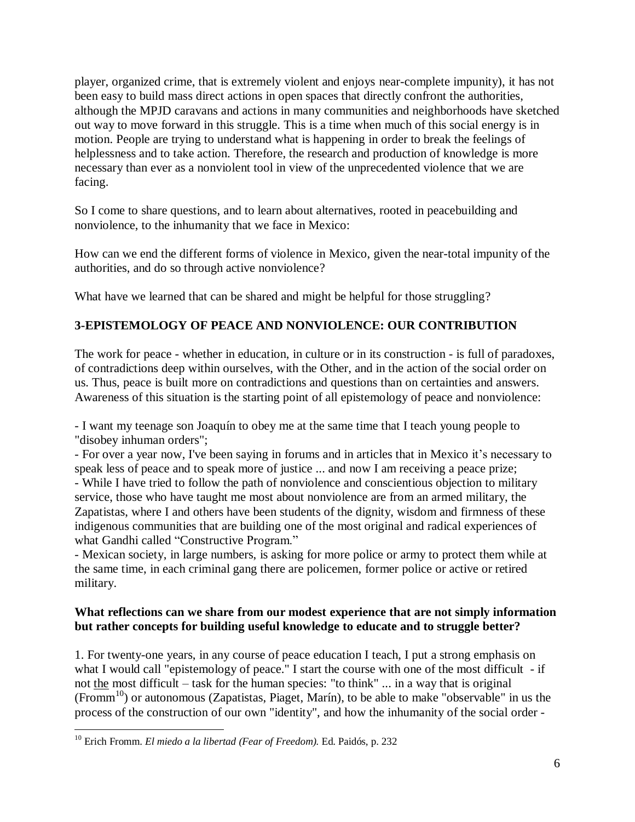player, organized crime, that is extremely violent and enjoys near-complete impunity), it has not been easy to build mass direct actions in open spaces that directly confront the authorities, although the MPJD caravans and actions in many communities and neighborhoods have sketched out way to move forward in this struggle. This is a time when much of this social energy is in motion. People are trying to understand what is happening in order to break the feelings of helplessness and to take action. Therefore, the research and production of knowledge is more necessary than ever as a nonviolent tool in view of the unprecedented violence that we are facing.

So I come to share questions, and to learn about alternatives, rooted in peacebuilding and nonviolence, to the inhumanity that we face in Mexico:

How can we end the different forms of violence in Mexico, given the near-total impunity of the authorities, and do so through active nonviolence?

What have we learned that can be shared and might be helpful for those struggling?

# **3-EPISTEMOLOGY OF PEACE AND NONVIOLENCE: OUR CONTRIBUTION**

The work for peace - whether in education, in culture or in its construction - is full of paradoxes, of contradictions deep within ourselves, with the Other, and in the action of the social order on us. Thus, peace is built more on contradictions and questions than on certainties and answers. Awareness of this situation is the starting point of all epistemology of peace and nonviolence:

- I want my teenage son Joaquín to obey me at the same time that I teach young people to "disobey inhuman orders";

- For over a year now, I've been saying in forums and in articles that in Mexico it's necessary to speak less of peace and to speak more of justice ... and now I am receiving a peace prize; - While I have tried to follow the path of nonviolence and conscientious objection to military

service, those who have taught me most about nonviolence are from an armed military, the Zapatistas, where I and others have been students of the dignity, wisdom and firmness of these indigenous communities that are building one of the most original and radical experiences of what Gandhi called "Constructive Program."

- Mexican society, in large numbers, is asking for more police or army to protect them while at the same time, in each criminal gang there are policemen, former police or active or retired military.

#### **What reflections can we share from our modest experience that are not simply information but rather concepts for building useful knowledge to educate and to struggle better?**

1. For twenty-one years, in any course of peace education I teach, I put a strong emphasis on what I would call "epistemology of peace." I start the course with one of the most difficult - if not the most difficult – task for the human species: "to think" ... in a way that is original  $(Fromm<sup>10</sup>)$  or autonomous (Zapatistas, Piaget, Marín), to be able to make "observable" in us the process of the construction of our own "identity", and how the inhumanity of the social order -

<sup>10</sup> Erich Fromm. *El miedo a la libertad (Fear of Freedom).* Ed. Paidós, p. 232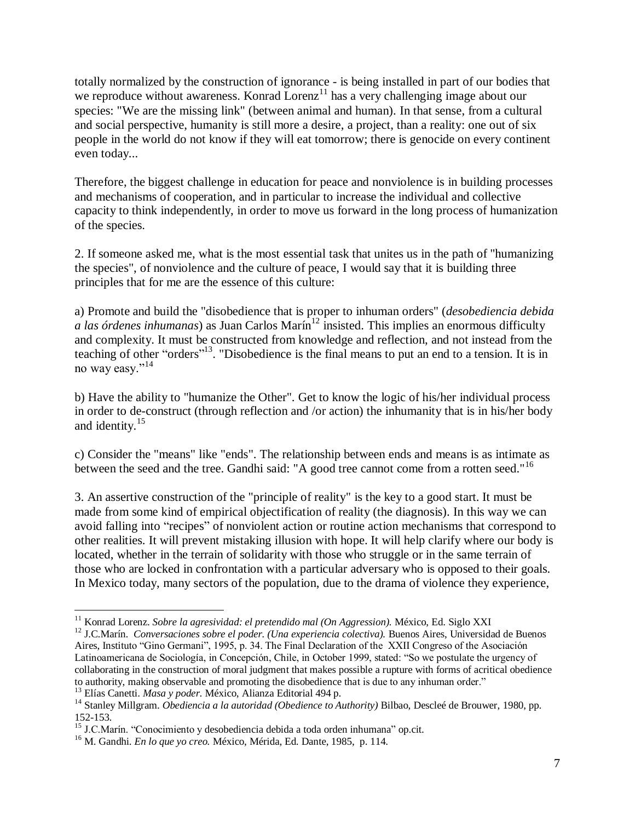totally normalized by the construction of ignorance - is being installed in part of our bodies that we reproduce without awareness. Konrad Lorenz<sup>11</sup> has a very challenging image about our species: "We are the missing link" (between animal and human). In that sense, from a cultural and social perspective, humanity is still more a desire, a project, than a reality: one out of six people in the world do not know if they will eat tomorrow; there is genocide on every continent even today...

Therefore, the biggest challenge in education for peace and nonviolence is in building processes and mechanisms of cooperation, and in particular to increase the individual and collective capacity to think independently, in order to move us forward in the long process of humanization of the species.

2. If someone asked me, what is the most essential task that unites us in the path of "humanizing the species", of nonviolence and the culture of peace, I would say that it is building three principles that for me are the essence of this culture:

a) Promote and build the "disobedience that is proper to inhuman orders" (*desobediencia debida a las órdenes inhumanas*) as Juan Carlos Marín<sup>12</sup> insisted. This implies an enormous difficulty and complexity. It must be constructed from knowledge and reflection, and not instead from the teaching of other "orders"<sup>13</sup>. "Disobedience is the final means to put an end to a tension. It is in no way easy."<sup>14</sup>

b) Have the ability to "humanize the Other". Get to know the logic of his/her individual process in order to de-construct (through reflection and /or action) the inhumanity that is in his/her body and identity. 15

c) Consider the "means" like "ends". The relationship between ends and means is as intimate as between the seed and the tree. Gandhi said: "A good tree cannot come from a rotten seed."<sup>16</sup>

3. An assertive construction of the "principle of reality" is the key to a good start. It must be made from some kind of empirical objectification of reality (the diagnosis). In this way we can avoid falling into "recipes" of nonviolent action or routine action mechanisms that correspond to other realities. It will prevent mistaking illusion with hope. It will help clarify where our body is located, whether in the terrain of solidarity with those who struggle or in the same terrain of those who are locked in confrontation with a particular adversary who is opposed to their goals. In Mexico today, many sectors of the population, due to the drama of violence they experience,

<sup>11</sup> Konrad Lorenz. *Sobre la agresividad: el pretendido mal (On Aggression).* México, Ed. Siglo XXI

<sup>&</sup>lt;sup>12</sup> J.C.Marín. *Conversaciones sobre el poder. (Una experiencia colectiva)*. Buenos Aires, Universidad de Buenos Aires, Instituto "Gino Germani", 1995, p. 34. The Final Declaration of the XXII Congreso of the Asociación Latinoamericana de Sociología, in Concepción, Chile, in October 1999, stated: "So we postulate the urgency of collaborating in the construction of moral judgment that makes possible a rupture with forms of acritical obedience to authority, making observable and promoting the disobedience that is due to any inhuman order."

<sup>13</sup> Elías Canetti. *Masa y poder.* México, Alianza Editorial 494 p.

<sup>14</sup> Stanley Millgram. *Obediencia a la autoridad (Obedience to Authority)* Bilbao, Descleé de Brouwer, 1980, pp. 152-153.

<sup>&</sup>lt;sup>15</sup> J.C.Marín. "Conocimiento y desobediencia debida a toda orden inhumana" op.cit.

<sup>16</sup> M. Gandhi. *En lo que yo creo.* México, Mérida, Ed. Dante, 1985, p. 114.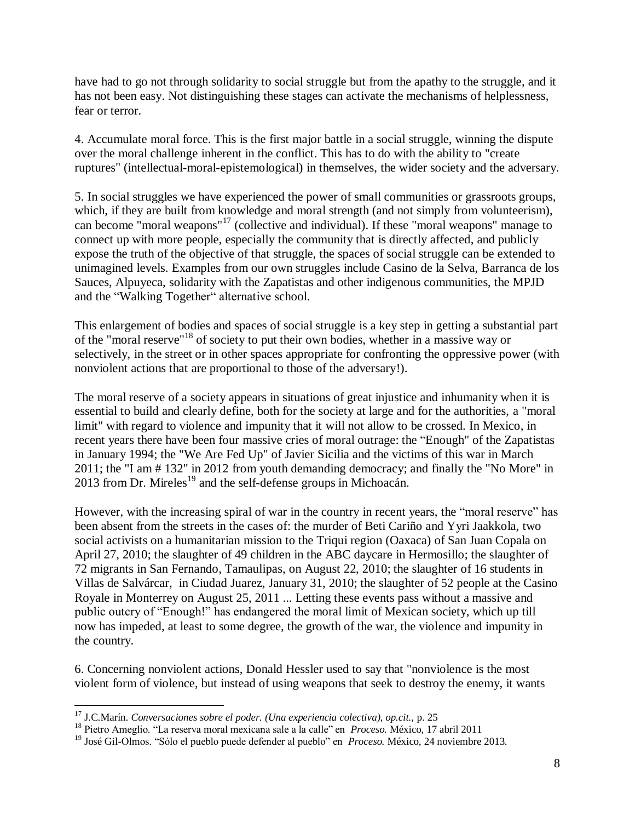have had to go not through solidarity to social struggle but from the apathy to the struggle, and it has not been easy. Not distinguishing these stages can activate the mechanisms of helplessness, fear or terror.

4. Accumulate moral force. This is the first major battle in a social struggle, winning the dispute over the moral challenge inherent in the conflict. This has to do with the ability to "create ruptures" (intellectual-moral-epistemological) in themselves, the wider society and the adversary.

5. In social struggles we have experienced the power of small communities or grassroots groups, which, if they are built from knowledge and moral strength (and not simply from volunteerism), can become "moral weapons"<sup>17</sup> (collective and individual). If these "moral weapons" manage to connect up with more people, especially the community that is directly affected, and publicly expose the truth of the objective of that struggle, the spaces of social struggle can be extended to unimagined levels. Examples from our own struggles include Casino de la Selva, Barranca de los Sauces, Alpuyeca, solidarity with the Zapatistas and other indigenous communities, the MPJD and the "Walking Together" alternative school.

This enlargement of bodies and spaces of social struggle is a key step in getting a substantial part of the "moral reserve"<sup>18</sup> of society to put their own bodies, whether in a massive way or selectively, in the street or in other spaces appropriate for confronting the oppressive power (with nonviolent actions that are proportional to those of the adversary!).

The moral reserve of a society appears in situations of great injustice and inhumanity when it is essential to build and clearly define, both for the society at large and for the authorities, a "moral limit" with regard to violence and impunity that it will not allow to be crossed. In Mexico, in recent years there have been four massive cries of moral outrage: the "Enough" of the Zapatistas in January 1994; the "We Are Fed Up" of Javier Sicilia and the victims of this war in March 2011; the "I am # 132" in 2012 from youth demanding democracy; and finally the "No More" in  $2013$  from Dr. Mireles<sup>19</sup> and the self-defense groups in Michoacán.

However, with the increasing spiral of war in the country in recent years, the "moral reserve" has been absent from the streets in the cases of: the murder of Beti Cariño and Yyri Jaakkola, two social activists on a humanitarian mission to the Triqui region (Oaxaca) of San Juan Copala on April 27, 2010; the slaughter of 49 children in the ABC daycare in Hermosillo; the slaughter of 72 migrants in San Fernando, Tamaulipas, on August 22, 2010; the slaughter of 16 students in Villas de Salvárcar, in Ciudad Juarez, January 31, 2010; the slaughter of 52 people at the Casino Royale in Monterrey on August 25, 2011 ... Letting these events pass without a massive and public outcry of "Enough!" has endangered the moral limit of Mexican society, which up till now has impeded, at least to some degree, the growth of the war, the violence and impunity in the country.

6. Concerning nonviolent actions, Donald Hessler used to say that "nonviolence is the most violent form of violence, but instead of using weapons that seek to destroy the enemy, it wants

 $\overline{a}$ <sup>17</sup> J.C.Marín. *Conversaciones sobre el poder. (Una experiencia colectiva), op.cit.,* p. 25

<sup>18</sup> Pietro Ameglio. "La reserva moral mexicana sale a la calle" en *Proceso.* México, 17 abril 2011

<sup>19</sup> José Gil-Olmos. "Sólo el pueblo puede defender al pueblo" en *Proceso.* México, 24 noviembre 2013.